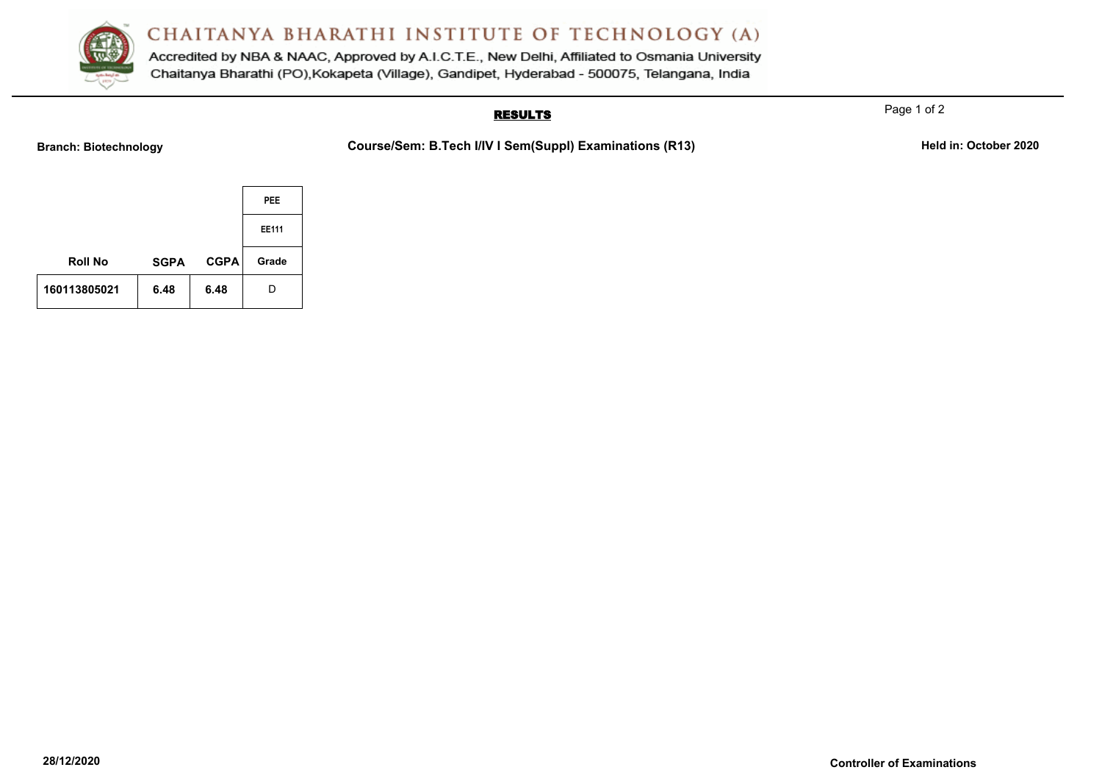

Accredited by NBA & NAAC, Approved by A.I.C.T.E., New Delhi, Affiliated to Osmania University Chaitanya Bharathi (PO), Kokapeta (Village), Gandipet, Hyderabad - 500075, Telangana, India

### **RESULTS**

Page 1 of 2

**Branch: Biotechnology Course/Sem: B.Tech I/IV I Sem(Suppl) Examinations (R13)** Held in: October 2020

|                |             |             | <b>PEE</b>   |
|----------------|-------------|-------------|--------------|
|                |             |             | <b>EE111</b> |
| <b>Roll No</b> | <b>SGPA</b> | <b>CGPA</b> | Grade        |
| 160113805021   | 6.48        | 6.48        | D            |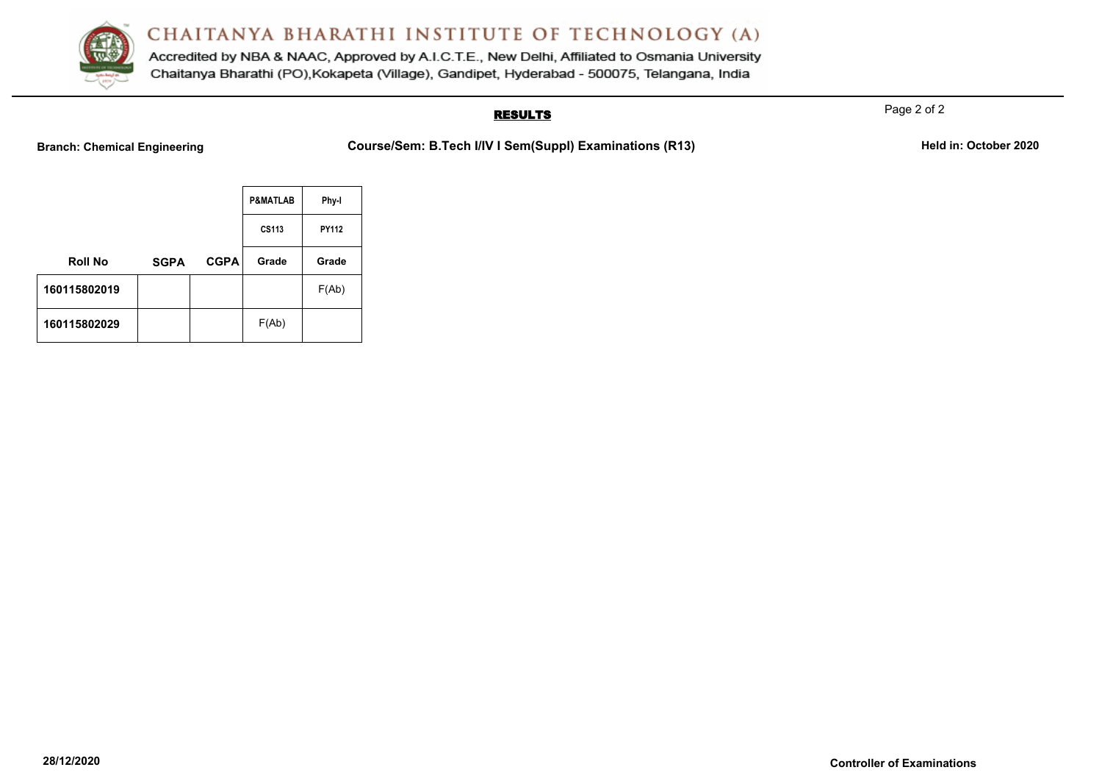

Accredited by NBA & NAAC, Approved by A.I.C.T.E., New Delhi, Affiliated to Osmania University Chaitanya Bharathi (PO), Kokapeta (Village), Gandipet, Hyderabad - 500075, Telangana, India

### **RESULTS**

Page 2 of 2

**Branch: Chemical Engineering <b>Course/Sem: B.Tech I/IV I Sem(SuppI) Examinations (R13)** Held in: October 2020

|                |             |             | <b>P&amp;MATLAB</b> | Phy-I |
|----------------|-------------|-------------|---------------------|-------|
|                |             |             | CS113               | PY112 |
| <b>Roll No</b> | <b>SGPA</b> | <b>CGPA</b> | Grade               | Grade |
| 160115802019   |             |             |                     | F(Ab) |
| 160115802029   |             |             | F(Ab)               |       |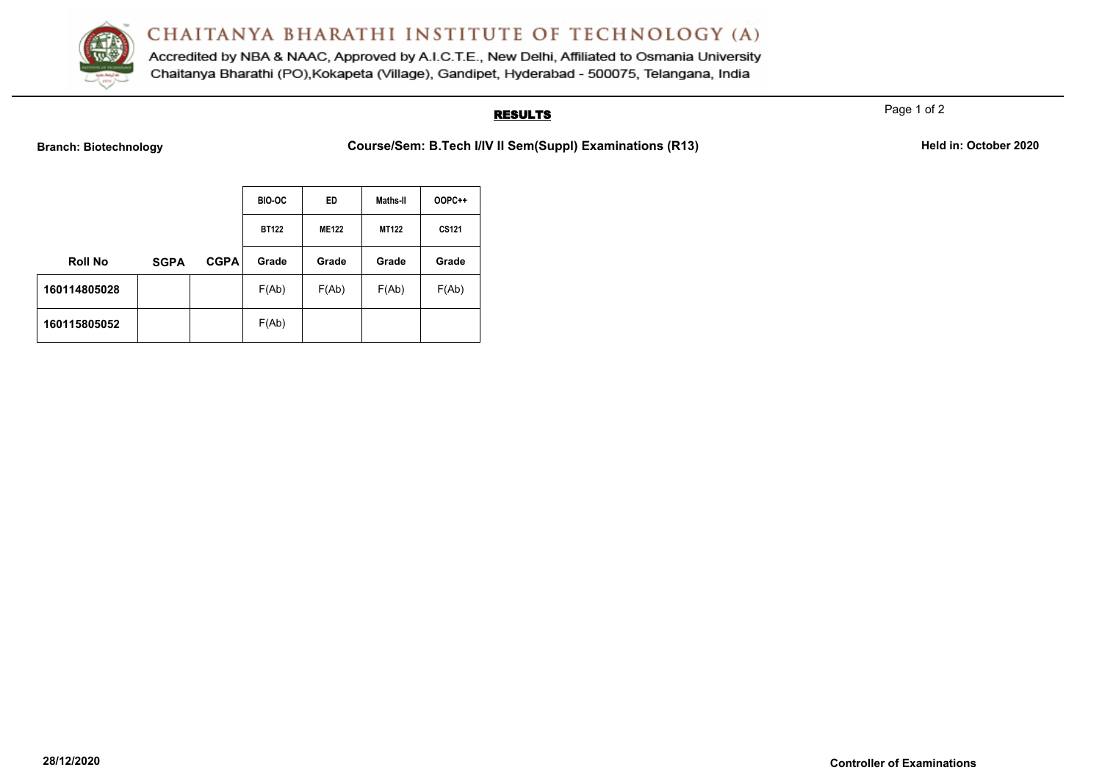

Accredited by NBA & NAAC, Approved by A.I.C.T.E., New Delhi, Affiliated to Osmania University Chaitanya Bharathi (PO), Kokapeta (Village), Gandipet, Hyderabad - 500075, Telangana, India

### **RESULTS**

Page 1 of 2

**Branch: Biotechnology <b>Course/Sem: B.Tech I/IV II Sem(Suppl) Examinations (R13)** Held in: October 2020

|                |             |             | <b>BIO-OC</b> | ED.          | Maths-II     | <b>OOPC++</b> |
|----------------|-------------|-------------|---------------|--------------|--------------|---------------|
|                |             |             | <b>BT122</b>  | <b>ME122</b> | <b>MT122</b> | <b>CS121</b>  |
| <b>Roll No</b> | <b>SGPA</b> | <b>CGPA</b> | Grade         | Grade        | Grade        | Grade         |
| 160114805028   |             |             | F(Ab)         | F(Ab)        | F(Ab)        | F(Ab)         |
| 160115805052   |             |             | F(Ab)         |              |              |               |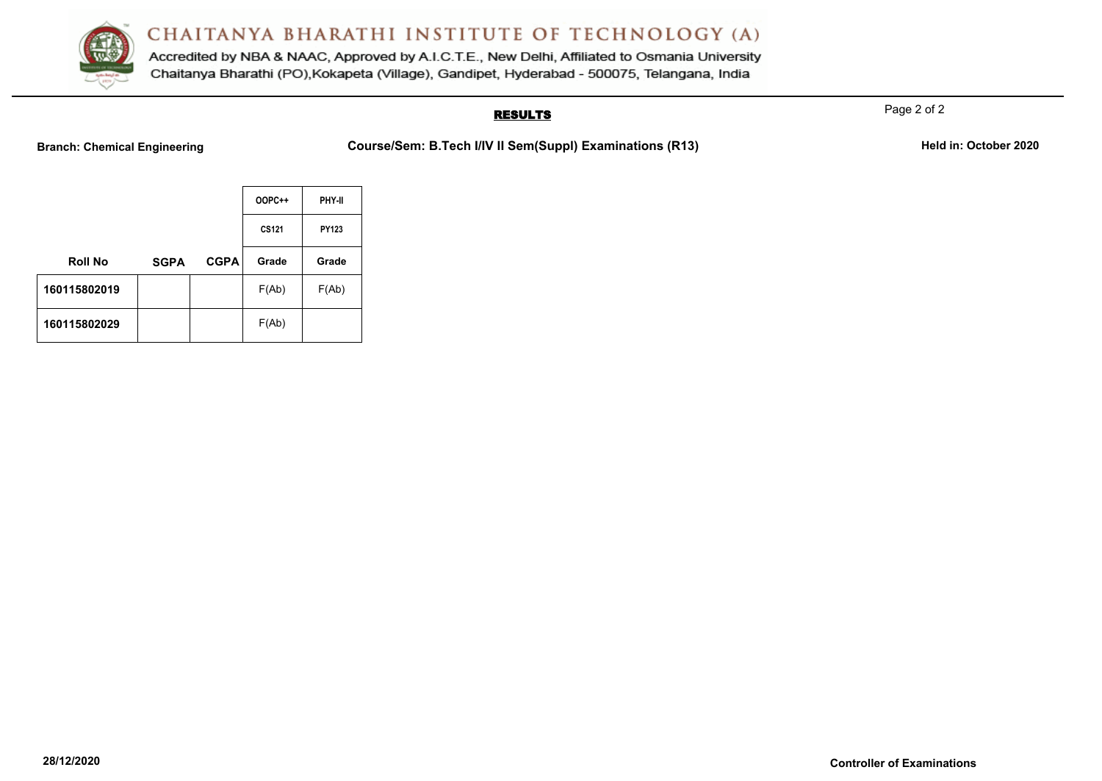

Accredited by NBA & NAAC, Approved by A.I.C.T.E., New Delhi, Affiliated to Osmania University Chaitanya Bharathi (PO), Kokapeta (Village), Gandipet, Hyderabad - 500075, Telangana, India

### **RESULTS**

Page 2 of 2

**Branch: Chemical Engineering <b>Course/Sem: B.Tech I/IV II Sem(Suppl) Examinations (R13)** Held in: October 2020

|                |             |             | <b>OOPC++</b> | PHY-II |
|----------------|-------------|-------------|---------------|--------|
|                |             |             | <b>CS121</b>  | PY123  |
| <b>Roll No</b> | <b>SGPA</b> | <b>CGPA</b> | Grade         | Grade  |
| 160115802019   |             |             | F(Ab)         | F(Ab)  |
| 160115802029   |             |             | F(Ab)         |        |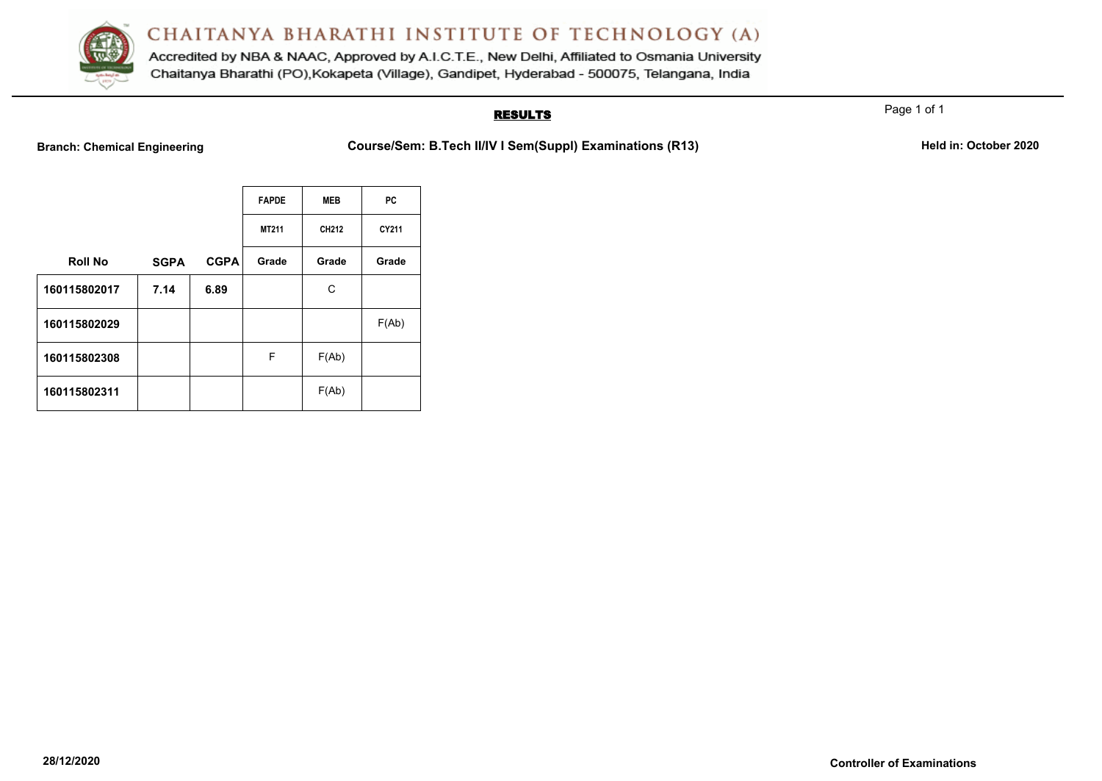

Accredited by NBA & NAAC, Approved by A.I.C.T.E., New Delhi, Affiliated to Osmania University Chaitanya Bharathi (PO), Kokapeta (Village), Gandipet, Hyderabad - 500075, Telangana, India

### **RESULTS**

Page 1 of 1

**Branch: Chemical Engineering <b>Course/Sem: B.Tech II/IV I Sem(Suppl) Examinations (R13)** Held in: October 2020

|                |             |             | <b>FAPDE</b> | <b>MEB</b> | PC    |
|----------------|-------------|-------------|--------------|------------|-------|
|                |             |             | MT211        | CH212      | CY211 |
| <b>Roll No</b> | <b>SGPA</b> | <b>CGPA</b> | Grade        | Grade      | Grade |
| 160115802017   | 7.14        | 6.89        |              | С          |       |
| 160115802029   |             |             |              |            | F(Ab) |
| 160115802308   |             |             | F            | F(Ab)      |       |
| 160115802311   |             |             |              | F(Ab)      |       |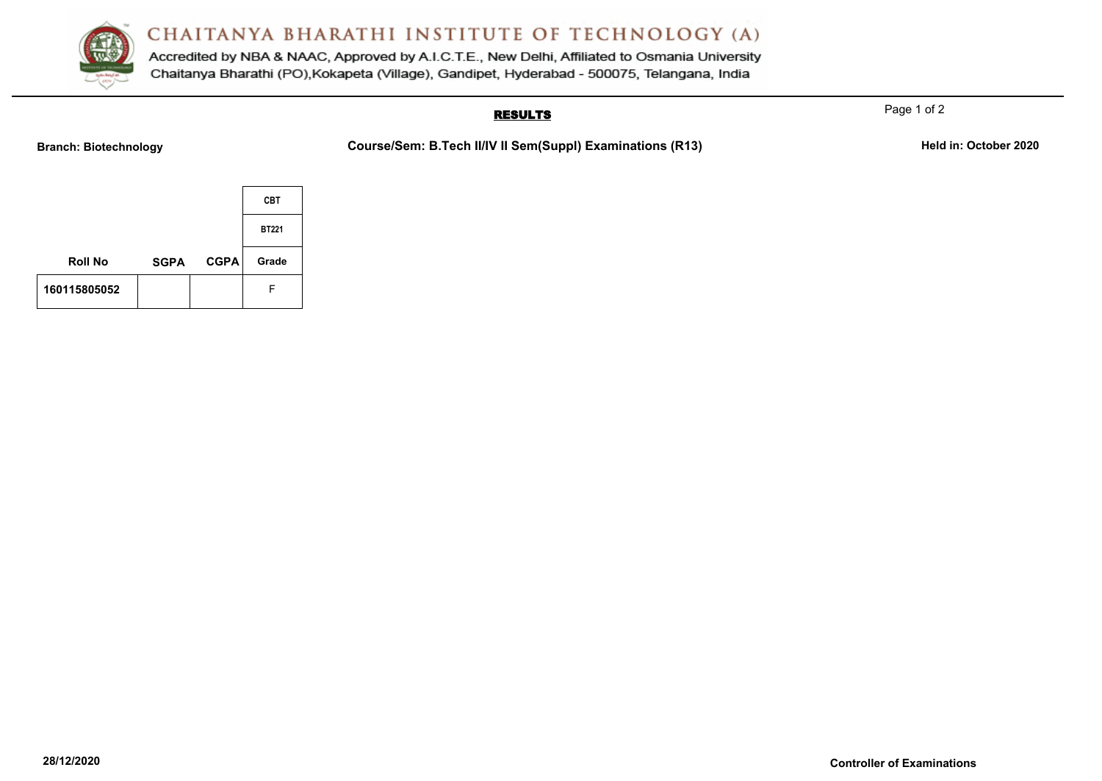

Accredited by NBA & NAAC, Approved by A.I.C.T.E., New Delhi, Affiliated to Osmania University Chaitanya Bharathi (PO), Kokapeta (Village), Gandipet, Hyderabad - 500075, Telangana, India

### **RESULTS**

Page 1 of 2

**Branch: Biotechnology Course/Sem: B.Tech II/IV II Sem(Suppl) Examinations (R13)** Held in: October 2020

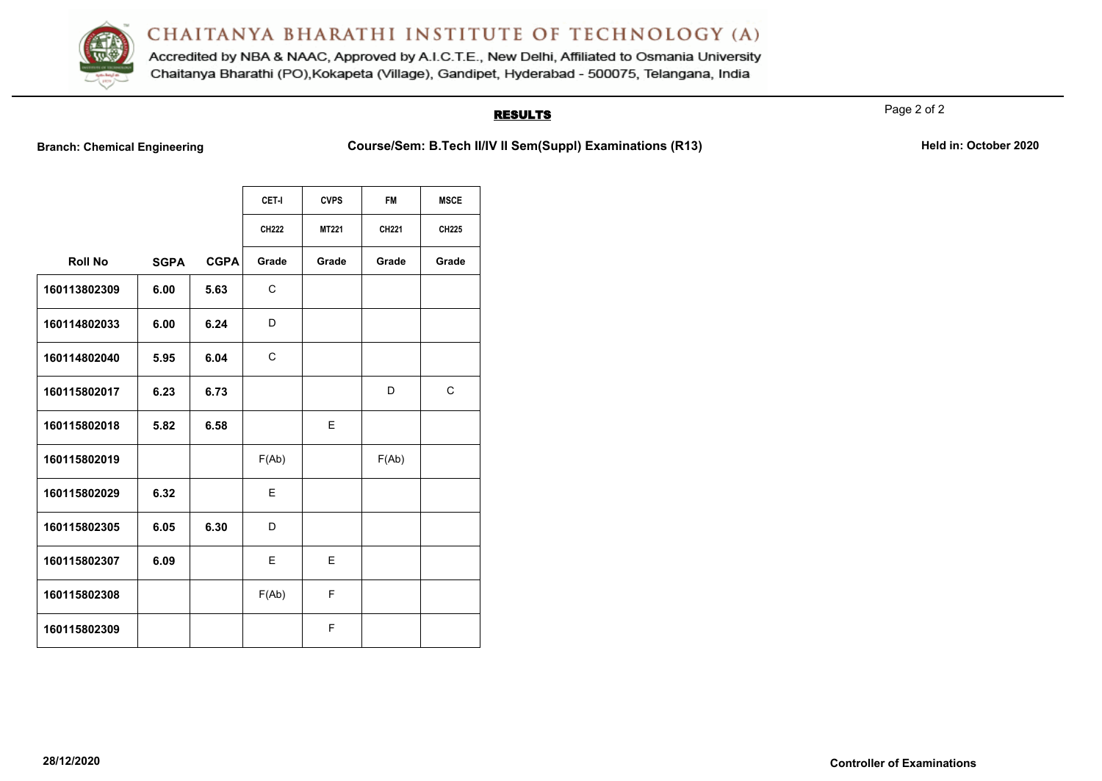

Accredited by NBA & NAAC, Approved by A.I.C.T.E., New Delhi, Affiliated to Osmania University Chaitanya Bharathi (PO), Kokapeta (Village), Gandipet, Hyderabad - 500075, Telangana, India

### **RESULTS**

Page 2 of 2

**Branch: Chemical Engineering <b>Course/Sem: B.Tech II/IV II Sem(SuppI) Examinations (R13)** Held in: October 2020

|                |             |             | CET-I        | <b>CVPS</b>  | <b>FM</b> | <b>MSCE</b> |
|----------------|-------------|-------------|--------------|--------------|-----------|-------------|
|                |             |             | <b>CH222</b> | <b>MT221</b> | CH221     | CH225       |
| <b>Roll No</b> | <b>SGPA</b> | <b>CGPA</b> | Grade        | Grade        | Grade     | Grade       |
| 160113802309   | 6.00        | 5.63        | C            |              |           |             |
| 160114802033   | 6.00        | 6.24        | D            |              |           |             |
| 160114802040   | 5.95        | 6.04        | $\mathsf{C}$ |              |           |             |
| 160115802017   | 6.23        | 6.73        |              |              | D         | C           |
| 160115802018   | 5.82        | 6.58        |              | E            |           |             |
| 160115802019   |             |             | F(Ab)        |              | F(Ab)     |             |
| 160115802029   | 6.32        |             | E            |              |           |             |
| 160115802305   | 6.05        | 6.30        | D            |              |           |             |
| 160115802307   | 6.09        |             | E            | E            |           |             |
| 160115802308   |             |             | F(Ab)        | F            |           |             |
| 160115802309   |             |             |              | F            |           |             |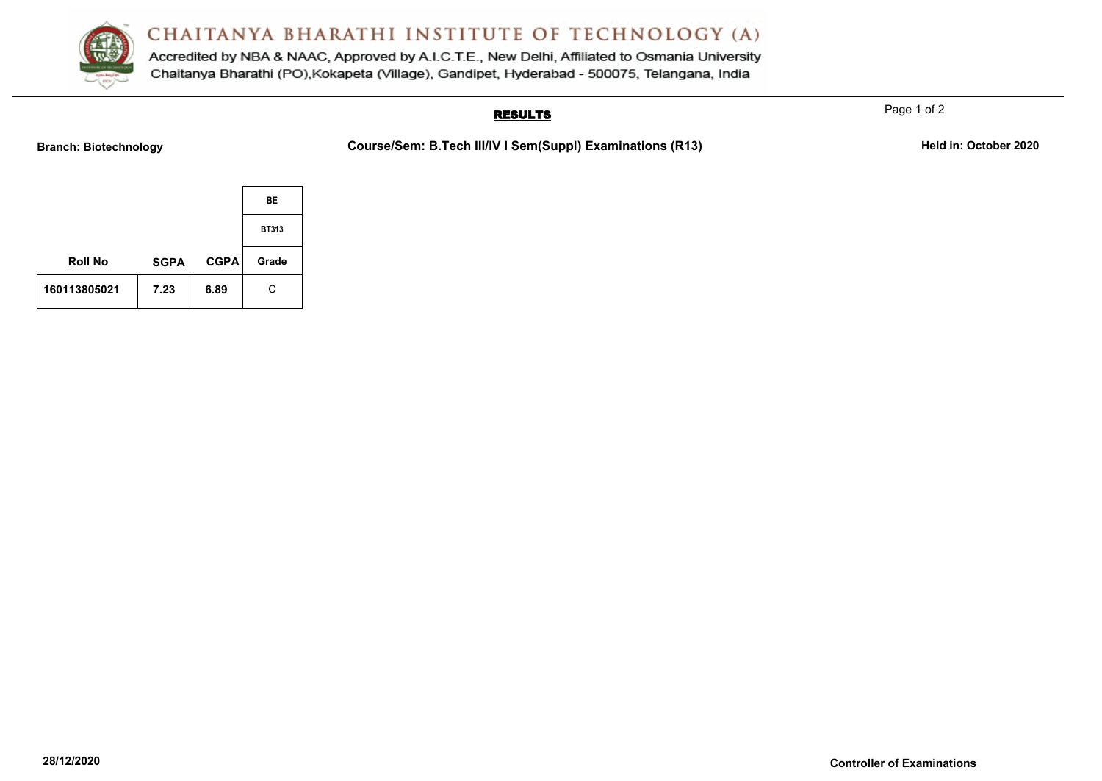

Accredited by NBA & NAAC, Approved by A.I.C.T.E., New Delhi, Affiliated to Osmania University Chaitanya Bharathi (PO), Kokapeta (Village), Gandipet, Hyderabad - 500075, Telangana, India

### **RESULTS**

Page 1 of 2

**Branch: Biotechnology Course/Sem: B.Tech III/IV I Sem(Suppl) Examinations (R13)** Held in: October 2020

|                |             |             | BE           |
|----------------|-------------|-------------|--------------|
|                |             |             | <b>BT313</b> |
| <b>Roll No</b> | <b>SGPA</b> | <b>CGPA</b> | Grade        |
| 160113805021   | 7.23        | 6.89        | C            |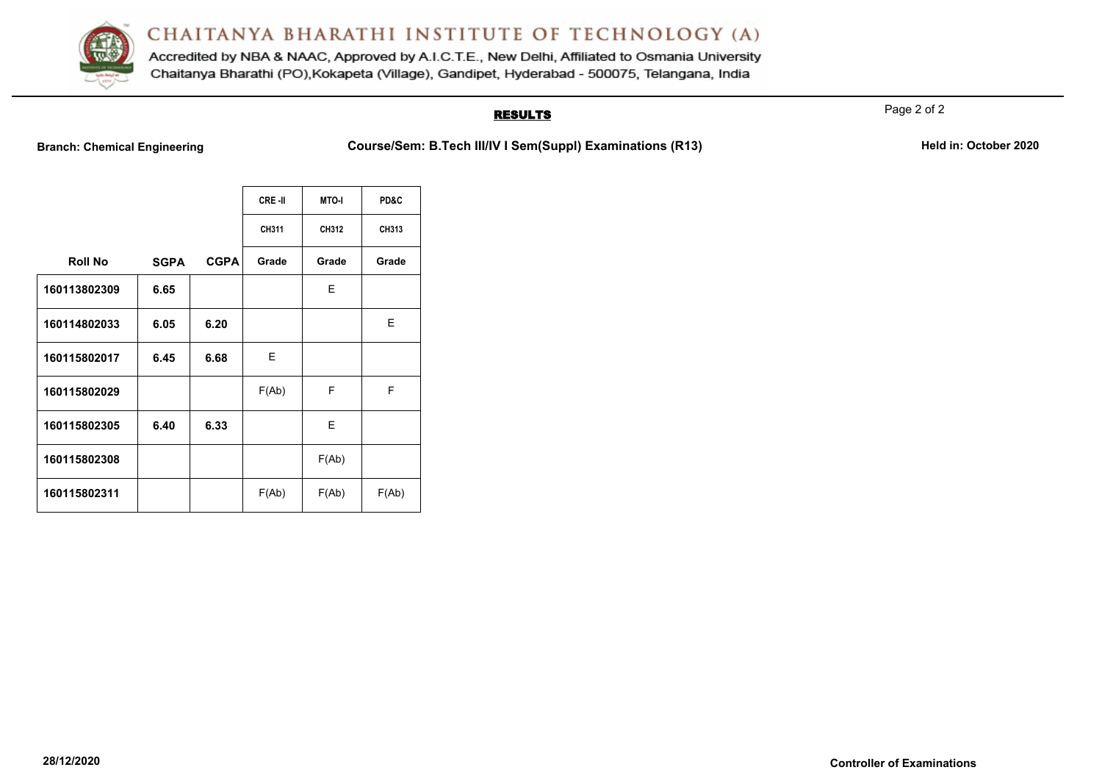

Accredited by NBA & NAAC, Approved by A.I.C.T.E., New Delhi, Affiliated to Osmania University Chaitanya Bharathi (PO), Kokapeta (Village), Gandipet, Hyderabad - 500075, Telangana, India

### **RESULTS**

Page 2 of 2

**Branch: Chemical Engineering <b>Course/Sem: B.Tech III/IV I Sem(Suppl) Examinations (R13)** Held in: October 2020

|                |             |             | CRE-II | <b>MTO-I</b> | PD&C  |
|----------------|-------------|-------------|--------|--------------|-------|
|                |             |             | CH311  | CH312        | CH313 |
| <b>Roll No</b> | <b>SGPA</b> | <b>CGPA</b> | Grade  | Grade        | Grade |
| 160113802309   | 6.65        |             |        | Е            |       |
| 160114802033   | 6.05        | 6.20        |        |              | Е     |
| 160115802017   | 6.45        | 6.68        | Е      |              |       |
| 160115802029   |             |             | F(Ab)  | F            | F     |
| 160115802305   | 6.40        | 6.33        |        | E            |       |
| 160115802308   |             |             |        | F(Ab)        |       |
| 160115802311   |             |             | F(Ab)  | F(Ab)        | F(Ab) |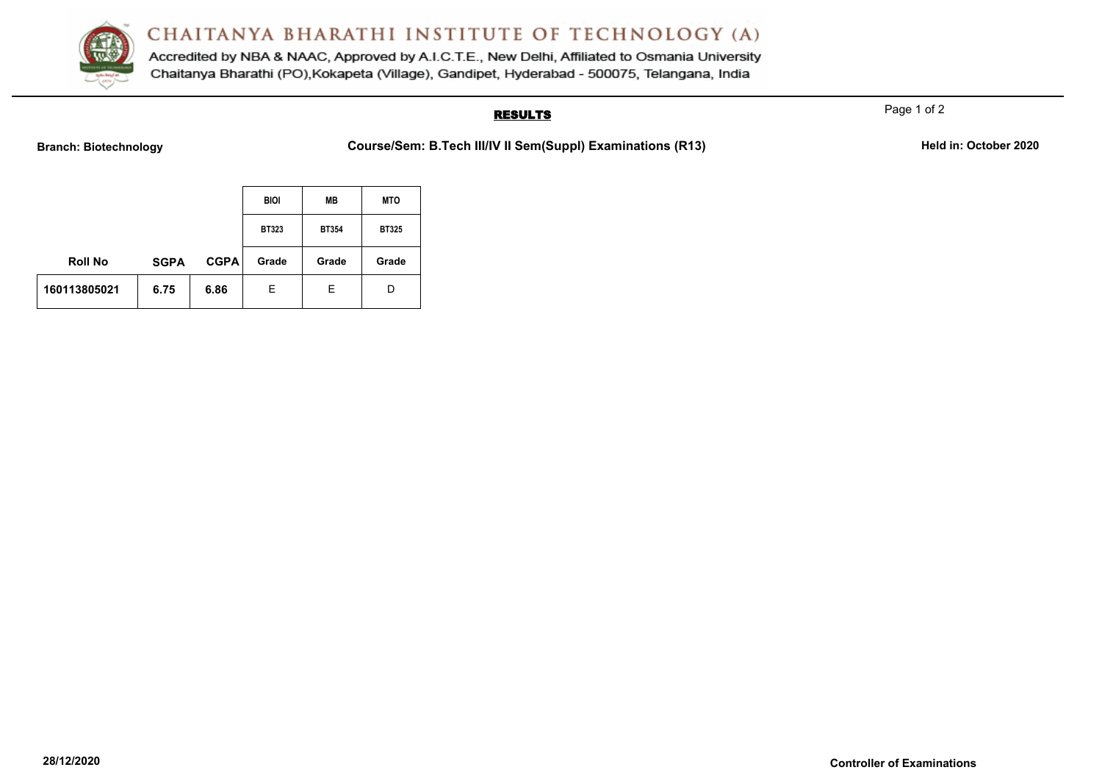

Accredited by NBA & NAAC, Approved by A.I.C.T.E., New Delhi, Affiliated to Osmania University Chaitanya Bharathi (PO), Kokapeta (Village), Gandipet, Hyderabad - 500075, Telangana, India

### **RESULTS**

Page 1 of 2

**Branch: Biotechnology Course/Sem: B.Tech III/IV II Sem(Suppl) Examinations (R13)** Held in: October 2020

|                |             |             | <b>BIOI</b>  | MВ           | <b>MTO</b>   |
|----------------|-------------|-------------|--------------|--------------|--------------|
|                |             |             | <b>BT323</b> | <b>BT354</b> | <b>BT325</b> |
| <b>Roll No</b> | <b>SGPA</b> | <b>CGPA</b> | Grade        | Grade        | Grade        |
| 160113805021   | 6.75        | 6.86        | Е            | Е            | D            |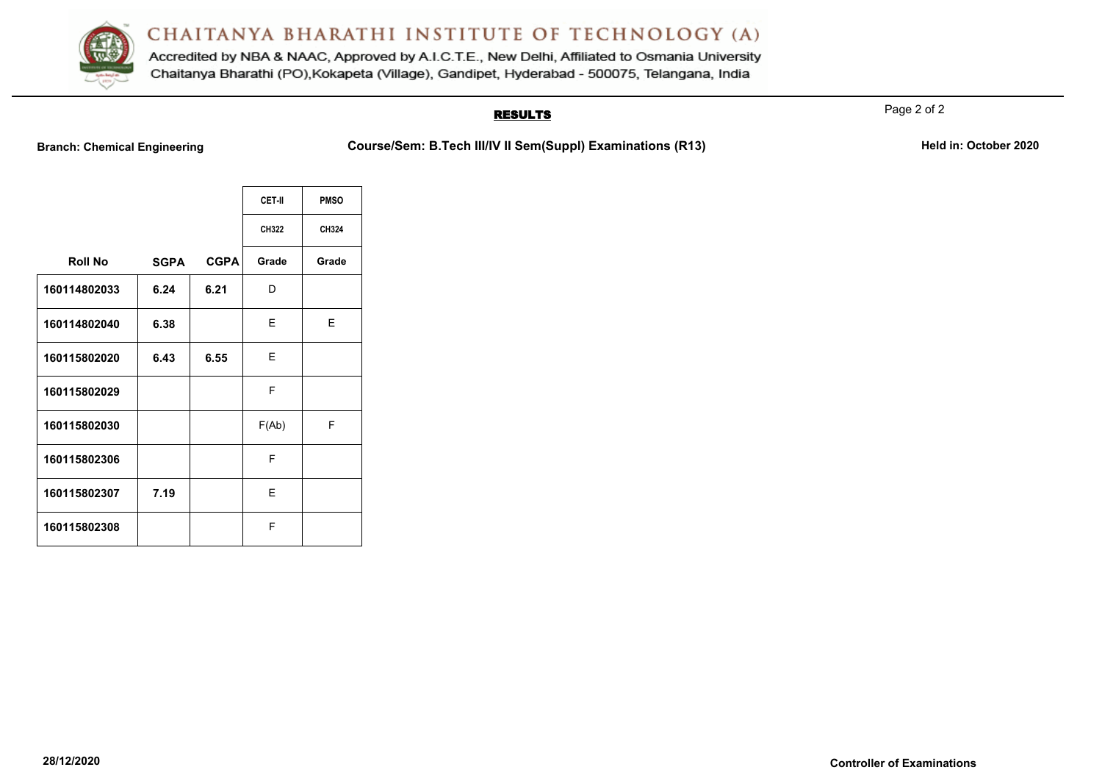

Accredited by NBA & NAAC, Approved by A.I.C.T.E., New Delhi, Affiliated to Osmania University Chaitanya Bharathi (PO), Kokapeta (Village), Gandipet, Hyderabad - 500075, Telangana, India

### **RESULTS**

Page 2 of 2

**Branch: Chemical Engineering <b>Course/Sem: B.Tech III/IV II Sem(Suppl) Examinations (R13)** Held in: October 2020

|                |             |             | CET-II | <b>PMSO</b> |
|----------------|-------------|-------------|--------|-------------|
|                |             |             | CH322  | CH324       |
| <b>Roll No</b> | <b>SGPA</b> | <b>CGPA</b> | Grade  | Grade       |
| 160114802033   | 6.24        | 6.21        | D      |             |
| 160114802040   | 6.38        |             | Ε      | Е           |
| 160115802020   | 6.43        | 6.55        | E      |             |
| 160115802029   |             |             | F      |             |
| 160115802030   |             |             | F(Ab)  | F           |
| 160115802306   |             |             | F      |             |
| 160115802307   | 7.19        |             | Е      |             |
| 160115802308   |             |             | F      |             |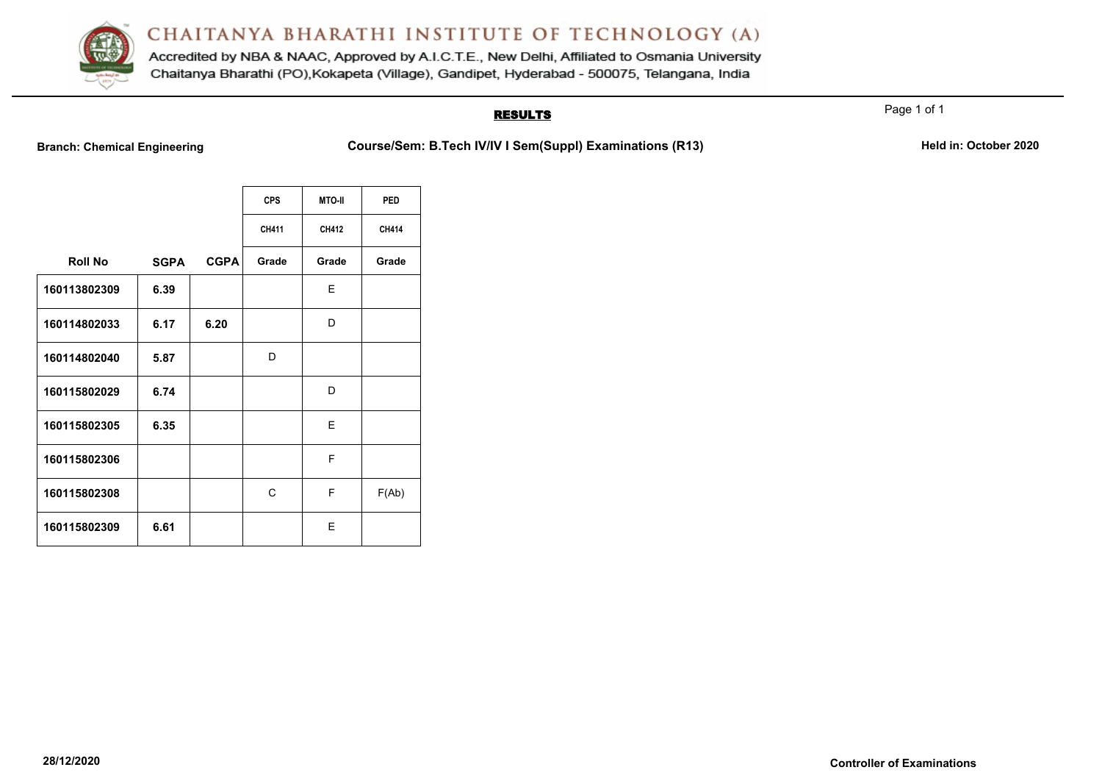

Accredited by NBA & NAAC, Approved by A.I.C.T.E., New Delhi, Affiliated to Osmania University Chaitanya Bharathi (PO), Kokapeta (Village), Gandipet, Hyderabad - 500075, Telangana, India

### **RESULTS**

**Branch: Chemical Engineering <b>Course/Sem: B.Tech IV/IV I Sem(SuppI) Examinations (R13)** Held in: October 2020

|                |             |             | <b>CPS</b> | <b>MTO-II</b> | <b>PED</b> |
|----------------|-------------|-------------|------------|---------------|------------|
|                |             |             | CH411      | CH412         | CH414      |
| <b>Roll No</b> | <b>SGPA</b> | <b>CGPA</b> | Grade      | Grade         | Grade      |
| 160113802309   | 6.39        |             |            | Е             |            |
| 160114802033   | 6.17        | 6.20        |            | D             |            |
| 160114802040   | 5.87        |             | D          |               |            |
| 160115802029   | 6.74        |             |            | D             |            |
| 160115802305   | 6.35        |             |            | E             |            |
| 160115802306   |             |             |            | F             |            |
| 160115802308   |             |             | С          | F             | F(Ab)      |
| 160115802309   | 6.61        |             |            | F             |            |